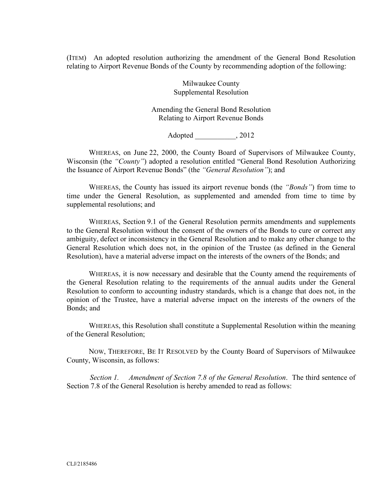(ITEM) An adopted resolution authorizing the amendment of the General Bond Resolution relating to Airport Revenue Bonds of the County by recommending adoption of the following:

> Milwaukee County Supplemental Resolution

Amending the General Bond Resolution Relating to Airport Revenue Bonds

Adopted  $, 2012$ 

WHEREAS, on June 22, 2000, the County Board of Supervisors of Milwaukee County, Wisconsin (the *"County"*) adopted a resolution entitled "General Bond Resolution Authorizing the Issuance of Airport Revenue Bonds" (the *"General Resolution"*); and

WHEREAS, the County has issued its airport revenue bonds (the *"Bonds"*) from time to time under the General Resolution, as supplemented and amended from time to time by supplemental resolutions; and

WHEREAS, Section 9.1 of the General Resolution permits amendments and supplements to the General Resolution without the consent of the owners of the Bonds to cure or correct any ambiguity, defect or inconsistency in the General Resolution and to make any other change to the General Resolution which does not, in the opinion of the Trustee (as defined in the General Resolution), have a material adverse impact on the interests of the owners of the Bonds; and

WHEREAS, it is now necessary and desirable that the County amend the requirements of the General Resolution relating to the requirements of the annual audits under the General Resolution to conform to accounting industry standards, which is a change that does not, in the opinion of the Trustee, have a material adverse impact on the interests of the owners of the Bonds; and

WHEREAS, this Resolution shall constitute a Supplemental Resolution within the meaning of the General Resolution;

NOW, THEREFORE, BE IT RESOLVED by the County Board of Supervisors of Milwaukee County, Wisconsin, as follows:

*Section 1. Amendment of Section 7.8 of the General Resolution*. The third sentence of Section 7.8 of the General Resolution is hereby amended to read as follows: